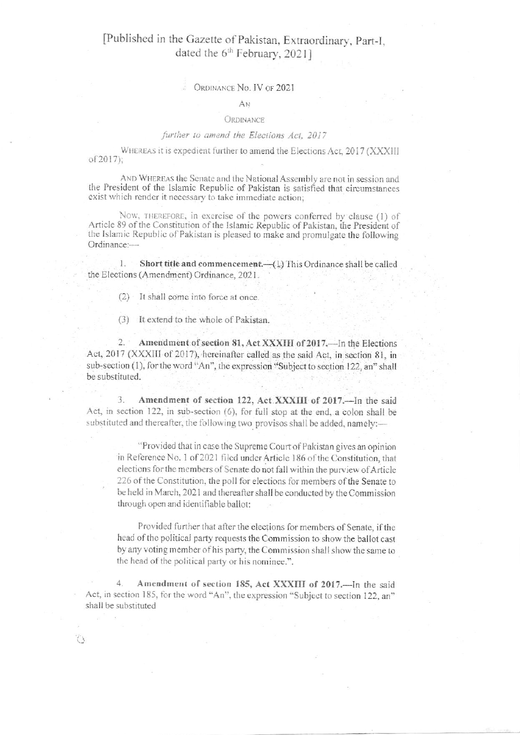### [Published in the Gazette of Pakistan, Extraordinary, Part-I, dated the 6<sup>th</sup> February, 2021]

#### ORDINANCE No. IV OF 2021

#### ÁN

#### ORDINANCE

#### further to amend the Elections Act, 2017

WHEREAS it is expedient further to amend the Elections Act, 2017 (XXXIII of 2017);

AND WHEREAS the Senate and the National Assembly are not in session and the President of the Islamic Republic of Pakistan is satisfied that circumstances exist which render it necessary to take immediate action;

Now, THEREFORE, in exercise of the powers conferred by clause (1) of Article 89 of the Constitution of the Islamic Republic of Pakistan, the President of the Islamic Republic of Pakistan is pleased to make and promulgate the following Ordinance:-

Short title and commencement. (1) This Ordinance shall be called  $1.$ the Elections (Amendment) Ordinance, 2021.

 $(2)$  It shall come into force at once.

(3) It extend to the whole of Pakistan.

 $2.$ Amendment of section 81, Act XXXIII of 2017.—In the Elections Act, 2017 (XXXIII of 2017), hereinafter called as the said Act, in section 81, in sub-section (1), for the word "An", the expression "Subject to section 122, an" shall be substituted.

Amendment of section 122, Act XXXIII of 2017. -- In the said 3. Act, in section 122, in sub-section (6), for full stop at the end, a colon shall be substituted and thereafter, the following two provisos shall be added, namely:-

"Provided that in case the Supreme Court of Pakistan gives an opinion in Reference No. 1 of 2021 filed under Article 186 of the Constitution, that elections for the members of Senate do not fall within the purview of Article 226 of the Constitution, the poll for elections for members of the Senate to be held in March, 2021 and thereafter shall be conducted by the Commission through open and identifiable ballot:

Provided further that after the elections for members of Senate, if the head of the political party requests the Commission to show the ballot cast by any voting member of his party, the Commission shall show the same to the head of the political party or his nominee.".

Amendment of section 185, Act XXXIII of 2017.-In the said 4. Act, in section 185, for the word "An", the expression "Subject to section 122, an" shall be substituted

 $\mathcal{L}$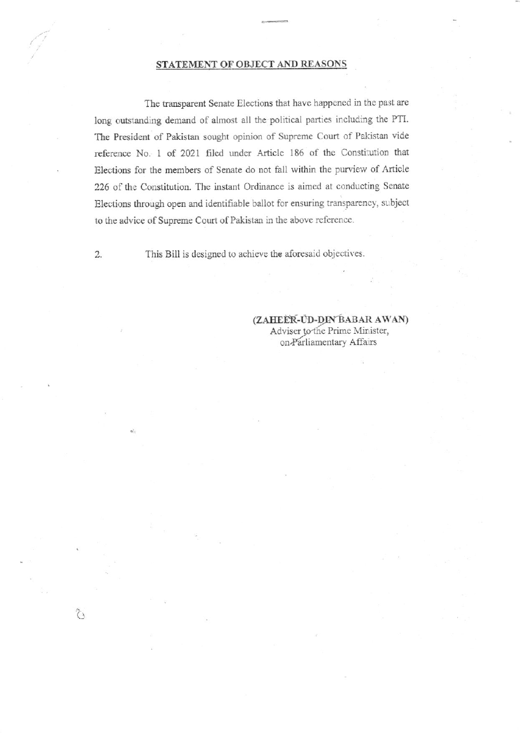#### STATEMENT OF OBJECT AND REASONS

The transparent Senate Elections that have happened in the past are long outstanding demand of almost all the political parties including the PTI. The President of Pakistan sought opinion of Supreme Court of Pakistan vide reference No. 1 of 2021 filed under Article 186 of the Constitution that Elections for the members of Senate do not fall within the purview of Article 226 of the Constitution. The instant Ordinance is aimed at conducting Senate Elections through open and identifiable ballot for ensuring transparency, subject to the advice of Supreme Court of Pakistan in the above reference.

This Bill is designed to achieve the aforesaid objectives.

 $2.$ 

 $\tilde{C}$ 

#### (ZAHEER-UD-DIN BABAR AWAN) Adviser to the Prime Minister, on-Parliamentary Affairs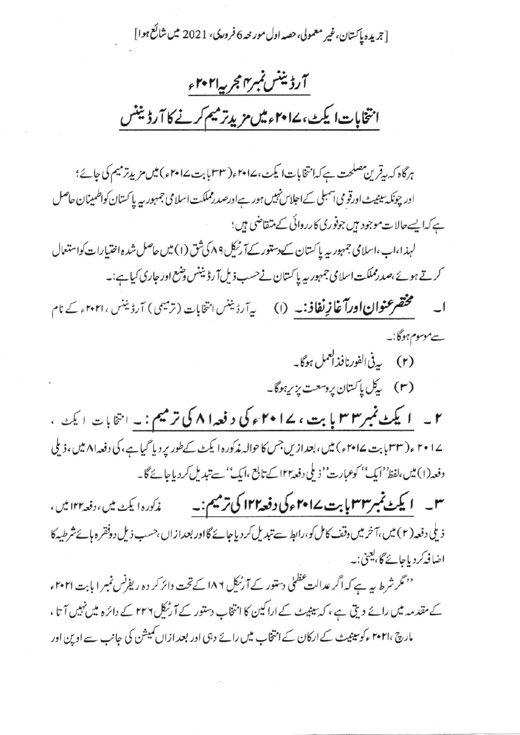[جريده پاکستان،غير معمولي،حصه اول مور حه 6 فرورکي، 2021 ميں شائع ہوا]

# آرڈیننس نمبرrالجربیہا ۲۰۲ ء انتخابات ایکٹ، ۱۷۰۲ء میں مرید ترمیم کرنے کا آرڈیننس

ہرگاہ کہ ریٹرین مصلحت ہے کہ انتخابات ایکٹ، ۱۷۴۷ء(۳۳ پابت ۱۷۴۷ء) میں مزیدِتر میم کی جائے؛ اور چونکہ بینیٹ اورقو می آسمبلی کےاجلاس نہیں ہور ہےاورصدرمملکت اسلامی جمہور بیہ پا کستان کواظمینان حاصل ہے کہایسےحالات موجود ہیں جوفوری کارروائی کے متقاضی ہیں؛ لہذا،اب،اسلامی جمہوریہ پاکستان کے دستور کے آرٹیک ۸۹ کی شق (۱) میں حاصل شدہ اختیارات کواستعال کرتے ہوئے،صدرمملکت اسلامی جمہور یہ پاکستان نے حسب ذیل آرڈینٹس وضع اور جاری کیاہے:۔ مختصرعنوان اورآغازِ نفاذ:۔ (۱) یہ آرڈینس انتخابات (ترمیمی) آرڈینس ، ۲۰۲۱ کے نام  $\overline{\phantom{a}}$ سےموسوم ہوگا:۔ (۲) پەنى الفورنافذالىمل ہوگا۔ (۳) پکل پاکستان پروسعت پزیرہوگا۔ ۲ \_ ۱ یکٹ نمبر۳۳ با بت ، ۱۷۰۲ء کی د فعہ۱۸ کی ترمیم : ۔ انتخابات ایمٹ ، ۲۰۱۷ ، (۳۳ بابت ۲۰۱۷ ،) میں، بعدازیں جس کا حوالہ مذکورہ ایکٹ کے طور پر دیا گیا ہے، کی دفعہ ۸۱ میں، ذیلی دفعہ(۱) میں،لفظ''ایک'' کوعبارت'' نہ ملی دفعہ ۱۲ا کے تابع ،ایک'' سے تبدیل کر دیاجائے گا۔ ذیلی دفعہ ( ۲ ) میں، آخر میں وقف کامل کو،رابط سے تیدیل کر دیا جائے گااور بعدازاں ،حسب ذیل دوفقر ہ ہائےشرطیہ کا اضافہ کر دیاجائے گا، یعنی:۔

''مگر شرط ہیے ہے کہ اگر عدالت عظمٰیٰ دستور کے آرنیکل ۱۸۶ کے تحت دائر کر دہ ریفرنس نمبر ا بابت ۲۰۲۱ء کے مقدمہ میں رائے دیتی ہے ، کہ بیٹیٹ کے اراکین کا انتخاب دستور کے آرٹیکل ۲۳۲ کے دائرہ میں نہیں آتا ، مارچ ، ۲۰۲۱ ءکوسینیٹ کے ارکان کے انتخاب میں رائے دہی اور بعد ازاں کمیشن کی جانب سے اوپن اور